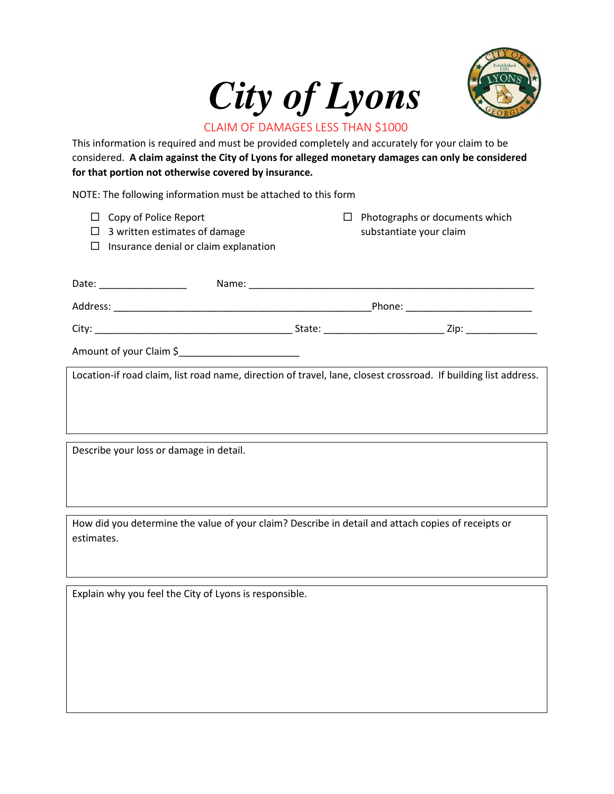



CLAIM OF DAMAGES LESS THAN \$1000

This information is required and must be provided completely and accurately for your claim to be considered. **A claim against the City of Lyons for alleged monetary damages can only be considered for that portion not otherwise covered by insurance.**

NOTE: The following information must be attached to this form

|            | $\Box$ Copy of Police Report<br>$\Box$ 3 written estimates of damage<br>$\square$ Insurance denial or claim explanation        |                                            | $\Box$ Photographs or documents which<br>substantiate your claim                                                |
|------------|--------------------------------------------------------------------------------------------------------------------------------|--------------------------------------------|-----------------------------------------------------------------------------------------------------------------|
|            |                                                                                                                                |                                            |                                                                                                                 |
|            |                                                                                                                                |                                            |                                                                                                                 |
|            |                                                                                                                                |                                            |                                                                                                                 |
|            | Amount of your Claim \$__________________________                                                                              |                                            |                                                                                                                 |
|            |                                                                                                                                |                                            | Location-if road claim, list road name, direction of travel, lane, closest crossroad. If building list address. |
|            | Describe your loss or damage in detail.                                                                                        |                                            |                                                                                                                 |
|            |                                                                                                                                |                                            |                                                                                                                 |
| estimates. | How did you determine the value of your claim? Describe in detail and attach copies of receipts or                             |                                            |                                                                                                                 |
|            | $\mathbf{r}$ , and $\mathbf{r}$ , and $\mathbf{r}$ , and $\mathbf{r}$ , and $\mathbf{r}$ , and $\mathbf{r}$ , and $\mathbf{r}$ | <b>Contract Contract Contract Contract</b> |                                                                                                                 |

Explain why you feel the City of Lyons is responsible.